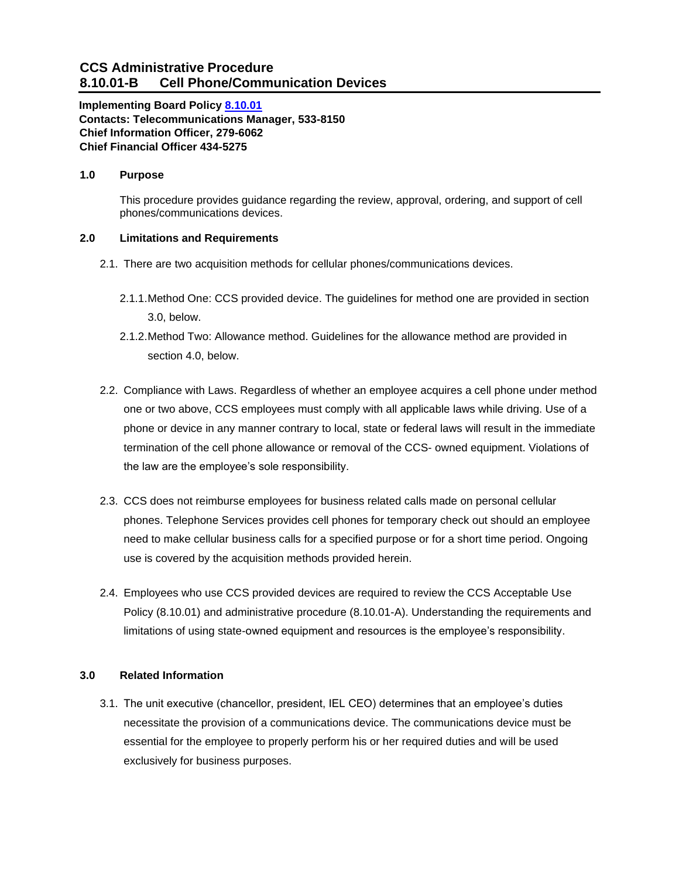# **CCS Administrative Procedure 8.10.01-B Cell Phone/Communication Devices**

**Implementing Board Policy [8.10.01](https://ccs.spokane.edu/About-Us/Leadership/Board-of-Trustees/Policies-Procedures/Chapter8) Contacts: Telecommunications Manager, 533-8150 Chief Information Officer, 279-6062 Chief Financial Officer 434-5275**

### **1.0 Purpose**

This procedure provides guidance regarding the review, approval, ordering, and support of cell phones/communications devices.

## **2.0 Limitations and Requirements**

- 2.1. There are two acquisition methods for cellular phones/communications devices.
	- 2.1.1.Method One: CCS provided device. The guidelines for method one are provided in section 3.0, below.
	- 2.1.2.Method Two: Allowance method. Guidelines for the allowance method are provided in section 4.0, below.
- 2.2. Compliance with Laws. Regardless of whether an employee acquires a cell phone under method one or two above, CCS employees must comply with all applicable laws while driving. Use of a phone or device in any manner contrary to local, state or federal laws will result in the immediate termination of the cell phone allowance or removal of the CCS- owned equipment. Violations of the law are the employee's sole responsibility.
- 2.3. CCS does not reimburse employees for business related calls made on personal cellular phones. Telephone Services provides cell phones for temporary check out should an employee need to make cellular business calls for a specified purpose or for a short time period. Ongoing use is covered by the acquisition methods provided herein.
- 2.4. Employees who use CCS provided devices are required to review the CCS Acceptable Use Policy (8.10.01) and administrative procedure (8.10.01-A). Understanding the requirements and limitations of using state-owned equipment and resources is the employee's responsibility.

#### **3.0 Related Information**

3.1. The unit executive (chancellor, president, IEL CEO) determines that an employee's duties necessitate the provision of a communications device. The communications device must be essential for the employee to properly perform his or her required duties and will be used exclusively for business purposes.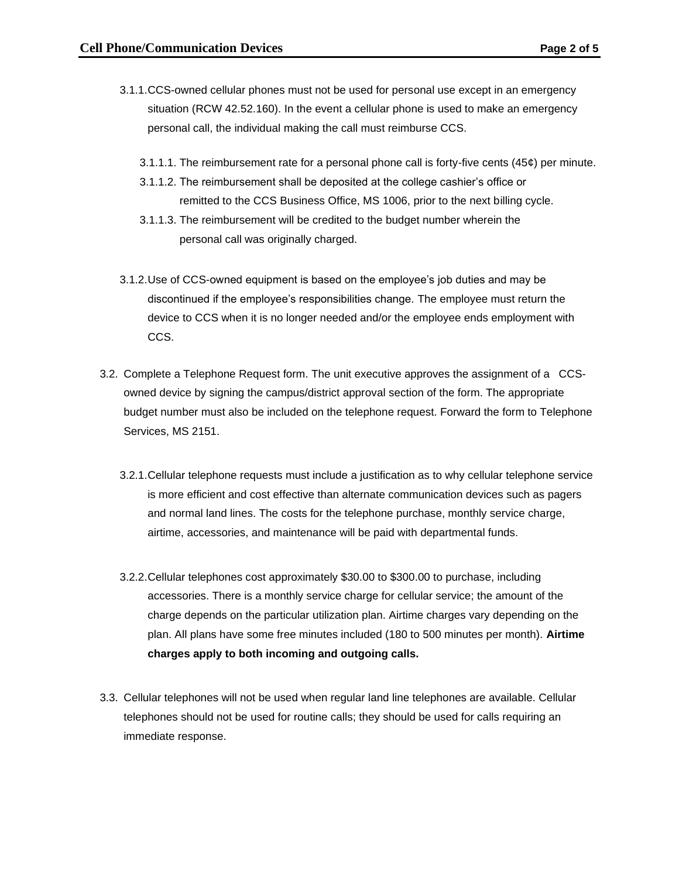- 3.1.1.CCS-owned cellular phones must not be used for personal use except in an emergency situation (RCW 42.52.160). In the event a cellular phone is used to make an emergency personal call, the individual making the call must reimburse CCS.
	- 3.1.1.1. The reimbursement rate for a personal phone call is forty-five cents (45¢) per minute.
	- 3.1.1.2. The reimbursement shall be deposited at the college cashier's office or remitted to the CCS Business Office, MS 1006, prior to the next billing cycle.
	- 3.1.1.3. The reimbursement will be credited to the budget number wherein the personal call was originally charged.
- 3.1.2.Use of CCS-owned equipment is based on the employee's job duties and may be discontinued if the employee's responsibilities change. The employee must return the device to CCS when it is no longer needed and/or the employee ends employment with CCS.
- 3.2. Complete a Telephone Request form. The unit executive approves the assignment of a CCSowned device by signing the campus/district approval section of the form. The appropriate budget number must also be included on the telephone request. Forward the form to Telephone Services, MS 2151.
	- 3.2.1.Cellular telephone requests must include a justification as to why cellular telephone service is more efficient and cost effective than alternate communication devices such as pagers and normal land lines. The costs for the telephone purchase, monthly service charge, airtime, accessories, and maintenance will be paid with departmental funds.
	- 3.2.2.Cellular telephones cost approximately \$30.00 to \$300.00 to purchase, including accessories. There is a monthly service charge for cellular service; the amount of the charge depends on the particular utilization plan. Airtime charges vary depending on the plan. All plans have some free minutes included (180 to 500 minutes per month). **Airtime charges apply to both incoming and outgoing calls.**
- 3.3. Cellular telephones will not be used when regular land line telephones are available. Cellular telephones should not be used for routine calls; they should be used for calls requiring an immediate response.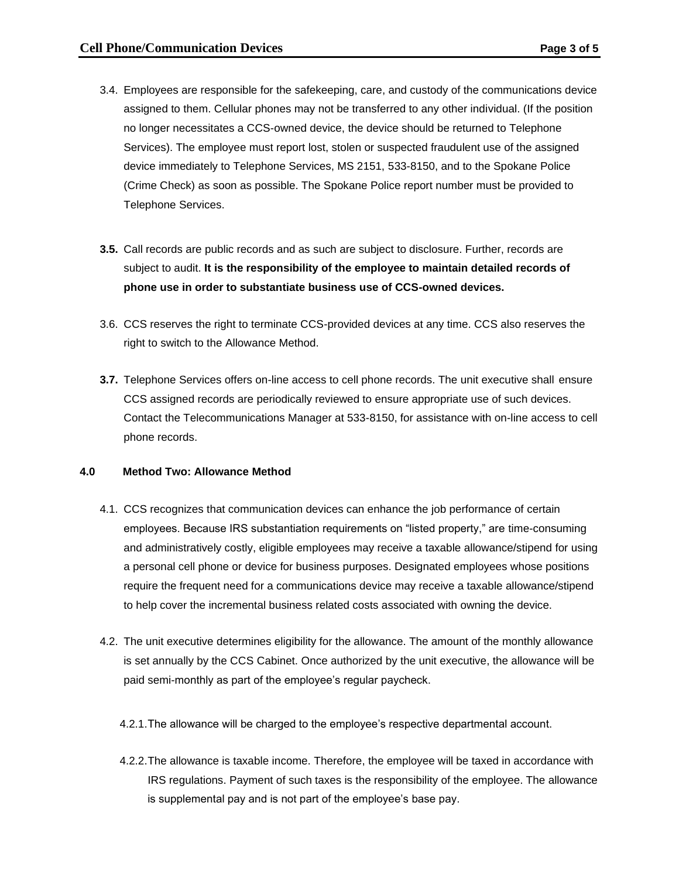- 3.4. Employees are responsible for the safekeeping, care, and custody of the communications device assigned to them. Cellular phones may not be transferred to any other individual. (If the position no longer necessitates a CCS-owned device, the device should be returned to Telephone Services). The employee must report lost, stolen or suspected fraudulent use of the assigned device immediately to Telephone Services, MS 2151, 533-8150, and to the Spokane Police (Crime Check) as soon as possible. The Spokane Police report number must be provided to Telephone Services.
- **3.5.** Call records are public records and as such are subject to disclosure. Further, records are subject to audit. **It is the responsibility of the employee to maintain detailed records of phone use in order to substantiate business use of CCS-owned devices.**
- 3.6. CCS reserves the right to terminate CCS-provided devices at any time. CCS also reserves the right to switch to the Allowance Method.
- **3.7.** Telephone Services offers on-line access to cell phone records. The unit executive shall ensure CCS assigned records are periodically reviewed to ensure appropriate use of such devices. Contact the Telecommunications Manager at 533-8150, for assistance with on-line access to cell phone records.

#### **4.0 Method Two: Allowance Method**

- 4.1. CCS recognizes that communication devices can enhance the job performance of certain employees. Because IRS substantiation requirements on "listed property," are time-consuming and administratively costly, eligible employees may receive a taxable allowance/stipend for using a personal cell phone or device for business purposes. Designated employees whose positions require the frequent need for a communications device may receive a taxable allowance/stipend to help cover the incremental business related costs associated with owning the device.
- 4.2. The unit executive determines eligibility for the allowance. The amount of the monthly allowance is set annually by the CCS Cabinet. Once authorized by the unit executive, the allowance will be paid semi-monthly as part of the employee's regular paycheck.
	- 4.2.1.The allowance will be charged to the employee's respective departmental account.
	- 4.2.2.The allowance is taxable income. Therefore, the employee will be taxed in accordance with IRS regulations. Payment of such taxes is the responsibility of the employee. The allowance is supplemental pay and is not part of the employee's base pay.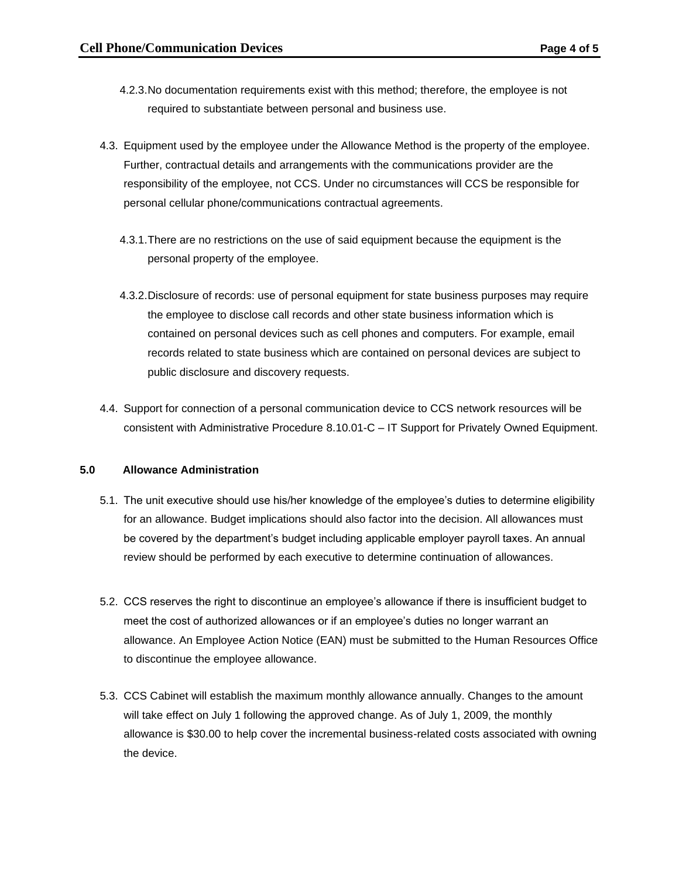- 4.2.3.No documentation requirements exist with this method; therefore, the employee is not required to substantiate between personal and business use.
- 4.3. Equipment used by the employee under the Allowance Method is the property of the employee. Further, contractual details and arrangements with the communications provider are the responsibility of the employee, not CCS. Under no circumstances will CCS be responsible for personal cellular phone/communications contractual agreements.
	- 4.3.1.There are no restrictions on the use of said equipment because the equipment is the personal property of the employee.
	- 4.3.2.Disclosure of records: use of personal equipment for state business purposes may require the employee to disclose call records and other state business information which is contained on personal devices such as cell phones and computers. For example, email records related to state business which are contained on personal devices are subject to public disclosure and discovery requests.
- 4.4. Support for connection of a personal communication device to CCS network resources will be consistent with Administrative Procedure 8.10.01-C – IT Support for Privately Owned Equipment.

#### **5.0 Allowance Administration**

- 5.1. The unit executive should use his/her knowledge of the employee's duties to determine eligibility for an allowance. Budget implications should also factor into the decision. All allowances must be covered by the department's budget including applicable employer payroll taxes. An annual review should be performed by each executive to determine continuation of allowances.
- 5.2. CCS reserves the right to discontinue an employee's allowance if there is insufficient budget to meet the cost of authorized allowances or if an employee's duties no longer warrant an allowance. An Employee Action Notice (EAN) must be submitted to the Human Resources Office to discontinue the employee allowance.
- 5.3. CCS Cabinet will establish the maximum monthly allowance annually. Changes to the amount will take effect on July 1 following the approved change. As of July 1, 2009, the monthly allowance is \$30.00 to help cover the incremental business-related costs associated with owning the device.